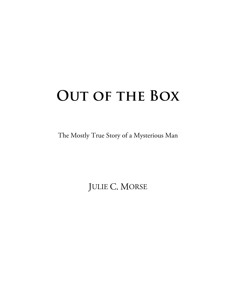## **Out of the Box**

The Mostly True Story of a Mysterious Man

JULIE C. MORSE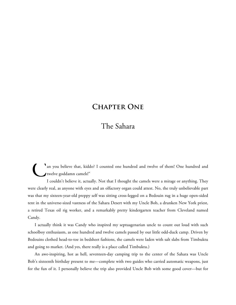## **Chapter One**

## The Sahara

an you believe that, kiddo? I counted one hundred and twelve of them! One hundred and twelve goddamn camels!" C

"

I couldn't believe it, actually. Not that I thought the camels were a mirage or anything. They were clearly real, as anyone with eyes and an olfactory organ could attest. No, the truly unbelievable part was that my sixteen-year-old preppy self was sitting cross-legged on a Bedouin rug in a huge open-sided tent in the universe-sized vastness of the Sahara Desert with my Uncle Bob, a drunken New York priest, a retired Texas oil rig worker, and a remarkably pretty kindergarten teacher from Cleveland named Candy.

I actually think it was Candy who inspired my septuagenarian uncle to count out loud with such schoolboy enthusiasm, as one hundred and twelve camels passed by our little odd-duck camp. Driven by Bedouins clothed head-to-toe in bedsheet fashions, the camels were laden with salt slabs from Timbuktu and going to market. (And yes, there really is a place called Timbuktu.)

An awe-inspiring, hot as hell, seventeen-day camping trip to the center of the Sahara was Uncle Bob's sixteenth birthday present to me—complete with two guides who carried automatic weapons, just for the fun of it. I personally believe the trip also provided Uncle Bob with some good cover—but for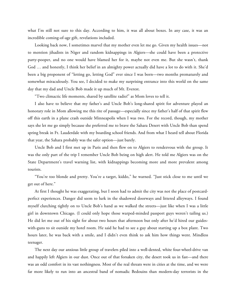what I'm still not sure to this day. According to him, it was all about boxes. In any case, it was an incredible coming-of-age gift, revelations included.

Looking back now, I sometimes marvel that my mother even let me go. Given my health issues—not to mention jihadists in Niger and random kidnappings in Algiers—she could have been a protective party-pooper, and no one would have blamed her for it, maybe not even me. But she wasn't, thank God … and honestly, I think her belief in an almighty power actually did have a lot to do with it. She'd been a big proponent of "letting go, letting God" ever since I was born—two months prematurely and somewhat miraculously. You see, I decided to make my surprising entrance into this world on the same day that my dad and Uncle Bob made it up much of Mt. Everest.

"Two climactic life moments, shared by satellite radio!" as Mom loves to tell it.

I also have to believe that my father's and Uncle Bob's long-shared spirit for adventure played an honorary role in Mom allowing me this rite of passage—especially since my father's half of that spirit flew off this earth in a plane crash outside Minneapolis when I was two. For the record, though, my mother says she let me go simply because she preferred me to brave the Sahara Desert with Uncle Bob than spend spring break in Ft. Lauderdale with my boarding school friends. And from what I heard tell about Florida that year, the Sahara probably was the safer option—just barely.

Uncle Bob and I first met up in Paris and then flew on to Algiers to rendezvous with the group. It was the only part of the trip I remember Uncle Bob being on high alert. He told me Algiers was on the State Department's travel warning list, with kidnappings becoming more and more prevalent among tourists.

"You're too blonde and pretty. You're a target, kiddo," he warned. "Just stick close to me until we get out of here."

At first I thought he was exaggerating, but I soon had to admit the city was not the place of postcardperfect experiences. Danger did seem to lurk in the shadowed doorways and littered alleyways. I found myself clutching tightly on to Uncle Bob's hand as we walked the streets—just like when I was a little girl in downtown Chicago. (I could only hope those warped-minded passport guys weren't tailing us.) He did let me out of his sight for about two hours that afternoon but only after he'd hired our guideswith-guns to sit outside my hotel room. He said he had to see a guy about starting up a box plant. Two hours later, he was back with a smile, and I didn't even think to ask him how things went. Mindless teenager.

The next day our anxious little group of travelers piled into a well-dented, white four-wheel-drive van and happily left Algiers in our dust. Once out of that forsaken city, the desert took us in fast—and there was an odd comfort in its vast nothingness. Most of the real threats were in cities at the time, and we were far more likely to run into an ancestral band of nomadic Bedouins than modern-day terrorists in the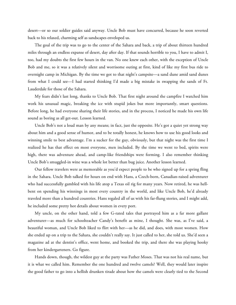desert—or so our soldier guides said anyway. Uncle Bob must have concurred, because he soon reverted back to his relaxed, charming self as sandscapes enveloped us.

The goal of the trip was to go to the center of the Sahara and back, a trip of about thirteen hundred miles through an endless expanse of desert, day after day. If that sounds horrible to you, I have to admit I, too, had my doubts the first few hours in the van. No one knew each other, with the exception of Uncle Bob and me, so it was a relatively silent and worrisome outing at first, kind of like my first bus ride to overnight camp in Michigan. By the time we got to that night's campsite—a sand dune amid sand dunes from what I could see—I had started thinking I'd made a big mistake in swapping the sands of Ft. Lauderdale for those of the Sahara.

My fears didn't last long, thanks to Uncle Bob. That first night around the campfire I watched him work his unusual magic, breaking the ice with stupid jokes but more importantly, smart questions. Before long, he had everyone sharing their life stories, and in the process, I noticed he made his own life sound as boring as all get-out. Lesson learned.

Uncle Bob's not a loud man by any means; in fact, just the opposite. He's got a quiet yet strong way about him and a good sense of humor, and to be totally honest, he knows how to use his good looks and winning smile to best advantage. I'm a sucker for the guy, obviously, but that night was the first time I realized he has that effect on most everyone, men included. By the time we went to bed, spirits were high, there was adventure ahead, and camp-like friendships were forming. I also remember thinking Uncle Bob's smuggled-in wine was a whole lot better than bug juice. Another lesson learned.

Our fellow travelers were as memorable as you'd expect people to be who signed up for a spring fling in the Sahara. Uncle Bob talked for hours on end with Hans, a Czech-born, Canadian-raised adventurer who had successfully gambled with his life atop a Texas oil rig for many years. Now retired, he was hellbent on spending his winnings in most every country in the world, and like Uncle Bob, he'd already traveled more than a hundred countries. Hans regaled all of us with his far-flung stories, and I might add, he included some pretty hot details about women in every port.

My uncle, on the other hand, told a few G-rated tales that portrayed him as a far more gallant adventurer—as much for schoolteacher Candy's benefit as mine, I thought. She was, as I've said, a beautiful woman, and Uncle Bob liked to flirt with her—as he did, and does, with most women. How she ended up on a trip to the Sahara, she couldn't really say. It just called to her, she told us. She'd seen a magazine ad at the dentist's office, went home, and booked the trip, and there she was playing hooky from her kindergarteners. Go figure.

Hands down, though, the wildest guy at the party was Father Moses. That was not his real name, but it is what we called him. Remember the one hundred and twelve camels? Well, they would later inspire the good father to go into a hellish drunken tirade about how the camels were clearly tied to the Second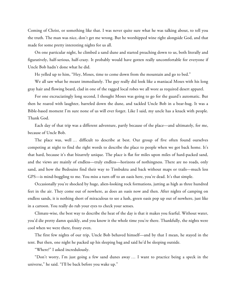Coming of Christ, or something like that. I was never quite sure what he was talking about, to tell you the truth. The man was nice, don't get me wrong. But he worshipped wine right alongside God, and that made for some pretty interesting nights for us all.

On one particular night, he climbed a sand dune and started preaching down to us, both literally and figuratively, half-serious, half-crazy. It probably would have gotten really uncomfortable for everyone if Uncle Bob hadn't done what he did.

He yelled up to him, "Hey, Moses, time to come down from the mountain and go to bed."

We all saw what he meant immediately. The guy really did look like a maniacal Moses with his long gray hair and flowing beard, clad in one of the ragged local robes we all wore as required desert apparel.

For one excruciatingly long second, I thought Moses was going to go for the guard's automatic. But then he roared with laughter, barreled down the dune, and tackled Uncle Bob in a bear-hug. It was a Bible-based moment I'm sure none of us will ever forget. Like I said, my uncle has a knack with people. Thank God.

Each day of that trip was a different adventure, partly because of the place—and ultimately, for me, because of Uncle Bob.

The place was, well … difficult to describe at best. Our group of five often found ourselves competing at night to find the right words to describe the place to people when we got back home. It's that hard, because it's that bizarrely unique. The place is flat for miles upon miles of hard-packed sand, and the views are mainly of endless—truly endless—horizons of nothingness. There are no roads, only sand, and how the Bedouins find their way to Timbuktu and back without maps or trails—much less GPS—is mind-boggling to me. You miss a turn off to an oasis here, you're dead. It's that simple.

Occasionally you're shocked by huge, alien-looking rock formations, jutting as high as three hundred feet in the air. They come out of nowhere, as does an oasis now and then. After nights of camping on endless sands, it is nothing short of miraculous to see a lush, green oasis pop up out of nowhere, just like in a cartoon. You really do rub your eyes to check your senses.

Climate-wise, the best way to describe the heat of the day is that it makes you fearful. Without water, you'd die pretty damn quickly, and you know it the whole time you're there. Thankfully, the nights were cool when we were there, frosty even.

The first few nights of our trip, Uncle Bob behaved himself—and by that I mean, he stayed in the tent. But then, one night he packed up his sleeping bag and said he'd be sleeping outside.

"Where?" I asked incredulously.

"Don't worry, I'm just going a few sand dunes away … I want to practice being a speck in the universe," he said. "I'll be back before you wake up."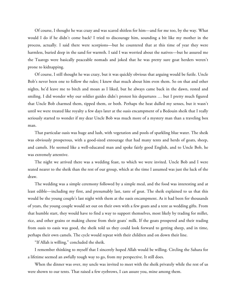Of course, I thought he was crazy and was scared shitless for him—and for me too, by the way. What would I do if he didn't come back? I tried to discourage him, sounding a bit like my mother in the process, actually. I said there were scorpions—but he countered that at this time of year they were harmless, buried deep in the sand for warmth. I said I was worried about the natives—but he assured me the Tuaregs were basically peaceable nomads and joked that he was pretty sure goat herders weren't prone to kidnapping.

Of course, I still thought he was crazy, but it was quickly obvious that arguing would be futile. Uncle Bob's never been one to follow the rules; I knew that much about him even them. So on that and other nights, he'd leave me to bitch and moan as I liked, but he always came back in the dawn, rested and smiling. I did wonder why our soldier guides didn't protest his departures … but I pretty much figured that Uncle Bob charmed them, tipped them, or both. Perhaps the heat dulled my senses, but it wasn't until we were treated like royalty a few days later at the oasis encampment of a Bedouin sheik that I really seriously started to wonder if my dear Uncle Bob was much more of a mystery man than a traveling box man.

That particular oasis was huge and lush, with vegetation and pools of sparkling blue water. The sheik was obviously prosperous, with a good-sized entourage that had many tents and herds of goats, sheep, and camels. He seemed like a well-educated man and spoke fairly good English, and to Uncle Bob, he was extremely attentive.

The night we arrived there was a wedding feast, to which we were invited. Uncle Bob and I were seated nearer to the sheik than the rest of our group, which at the time I assumed was just the luck of the draw.

The wedding was a simple ceremony followed by a simple meal, and the food was interesting and at least edible—including my first, and presumably last, taste of goat. The sheik explained to us that this would be the young couple's last night with them at the oasis encampment. As it had been for thousands of years, the young couple would set out on their own with a few goats and a tent as wedding gifts. From that humble start, they would have to find a way to support themselves, most likely by trading for millet, rice, and other grains or making cheese from their goats' milk. If the goats prospered and their trading from oasis to oasis was good, the sheik told us they could look forward to getting sheep, and in time, perhaps their own camels. The cycle would repeat with their children and on down their line.

"If Allah is willing," concluded the sheik.

I remember thinking to myself that I sincerely hoped Allah would be willing. Circling the Sahara for a lifetime seemed an awfully tough way to go, from my perspective. It still does.

When the dinner was over, my uncle was invited to meet with the sheik privately while the rest of us were shown to our tents. That raised a few eyebrows, I can assure you, mine among them.